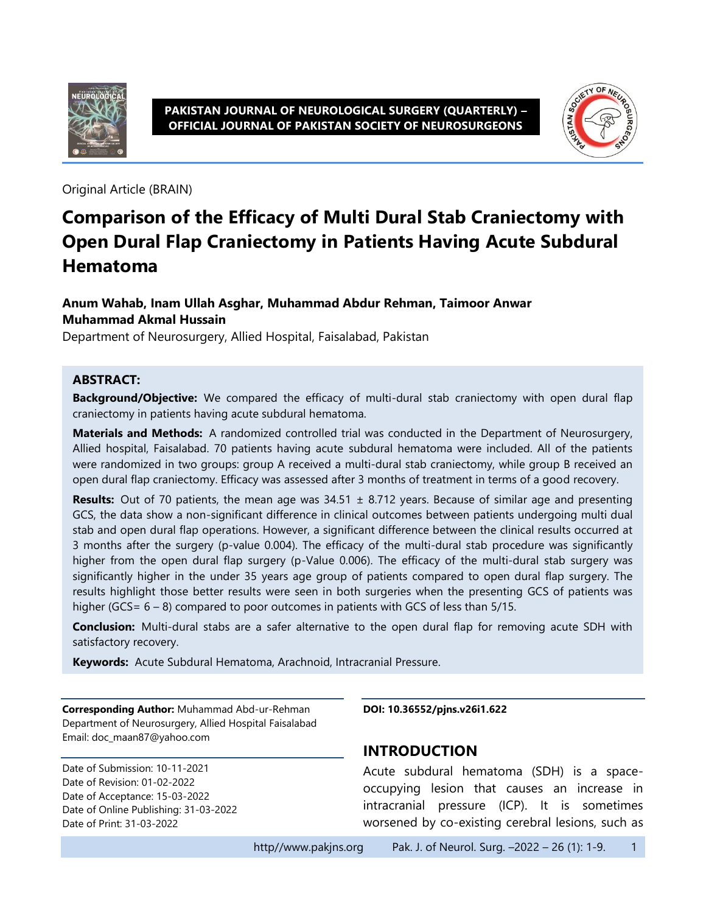

#### **PAKISTAN JOURNAL OF NEUROLOGICAL SURGERY (QUARTERLY) – OFFICIAL JOURNAL OF PAKISTAN SOCIETY OF NEUROSURGEONS**



Original Article (BRAIN)

# **Comparison of the Efficacy of Multi Dural Stab Craniectomy with Open Dural Flap Craniectomy in Patients Having Acute Subdural Hematoma**

#### **Anum Wahab, Inam Ullah Asghar, Muhammad Abdur Rehman, Taimoor Anwar Muhammad Akmal Hussain**

Department of Neurosurgery, Allied Hospital, Faisalabad, Pakistan

#### **ABSTRACT:**

**Background/Objective:** We compared the efficacy of multi-dural stab craniectomy with open dural flap craniectomy in patients having acute subdural hematoma.

**Materials and Methods:** A randomized controlled trial was conducted in the Department of Neurosurgery, Allied hospital, Faisalabad. 70 patients having acute subdural hematoma were included. All of the patients were randomized in two groups: group A received a multi-dural stab craniectomy, while group B received an open dural flap craniectomy. Efficacy was assessed after 3 months of treatment in terms of a good recovery.

**Results:** Out of 70 patients, the mean age was  $34.51 \pm 8.712$  years. Because of similar age and presenting GCS, the data show a non-significant difference in clinical outcomes between patients undergoing multi dual stab and open dural flap operations. However, a significant difference between the clinical results occurred at 3 months after the surgery (p-value 0.004). The efficacy of the multi-dural stab procedure was significantly higher from the open dural flap surgery (p-Value 0.006). The efficacy of the multi-dural stab surgery was significantly higher in the under 35 years age group of patients compared to open dural flap surgery. The results highlight those better results were seen in both surgeries when the presenting GCS of patients was higher (GCS= 6 – 8) compared to poor outcomes in patients with GCS of less than 5/15.

**Conclusion:** Multi-dural stabs are a safer alternative to the open dural flap for removing acute SDH with satisfactory recovery.

**Keywords:** Acute Subdural Hematoma, Arachnoid, Intracranial Pressure.

**Corresponding Author:** Muhammad Abd-ur-Rehman Department of Neurosurgery, Allied Hospital Faisalabad Email: doc\_maan87@yahoo.com

Date of Submission: 10-11-2021 Date of Revision: 01-02-2022 Date of Acceptance: 15-03-2022 Date of Online Publishing: 31-03-2022 Date of Print: 31-03-2022

**DOI: 10.36552/pjns.v26i1.622**

#### **INTRODUCTION**

Acute subdural hematoma (SDH) is a spaceoccupying lesion that causes an increase in intracranial pressure (ICP). It is sometimes worsened by co-existing cerebral lesions, such as

http//www.pakjns.org Pak. J. of Neurol. Surg. –2022 – 26 (1): 1-9. 1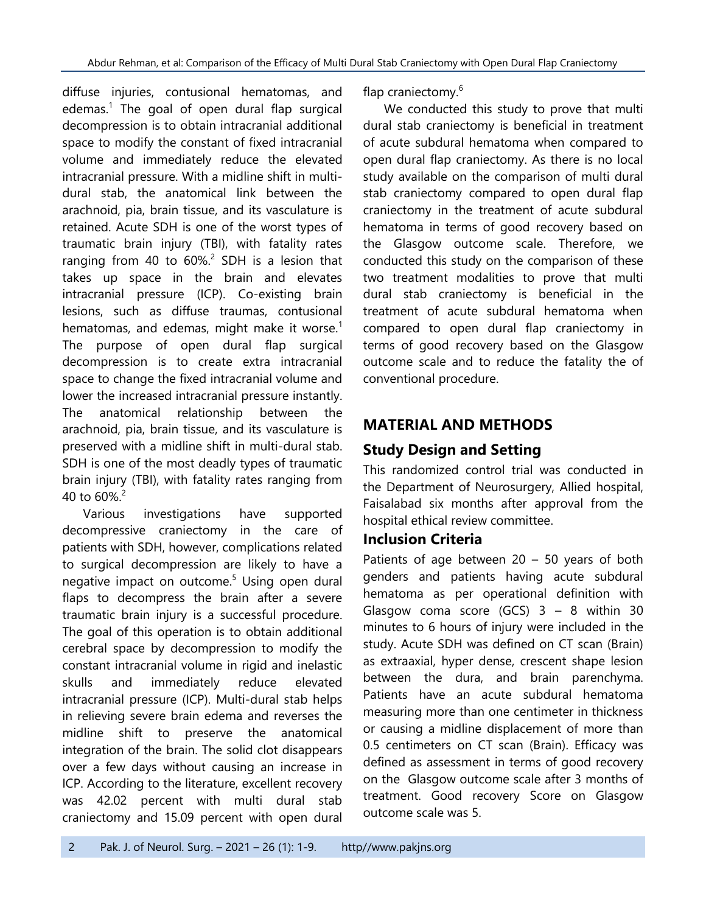diffuse injuries, contusional hematomas, and edemas. 1 The goal of open dural flap surgical decompression is to obtain intracranial additional space to modify the constant of fixed intracranial volume and immediately reduce the elevated intracranial pressure. With a midline shift in multidural stab, the anatomical link between the arachnoid, pia, brain tissue, and its vasculature is retained. Acute SDH is one of the worst types of traumatic brain injury (TBI), with fatality rates ranging from 40 to 60%.<sup>2</sup> SDH is a lesion that takes up space in the brain and elevates intracranial pressure (ICP). Co-existing brain lesions, such as diffuse traumas, contusional hematomas, and edemas, might make it worse. $^1$ The purpose of open dural flap surgical decompression is to create extra intracranial space to change the fixed intracranial volume and lower the increased intracranial pressure instantly. The anatomical relationship between the arachnoid, pia, brain tissue, and its vasculature is preserved with a midline shift in multi-dural stab. SDH is one of the most deadly types of traumatic brain injury (TBI), with fatality rates ranging from 40 to 60%. $^2$ 

Various investigations have supported decompressive craniectomy in the care of patients with SDH, however, complications related to surgical decompression are likely to have a negative impact on outcome. <sup>5</sup> Using open dural flaps to decompress the brain after a severe traumatic brain injury is a successful procedure. The goal of this operation is to obtain additional cerebral space by decompression to modify the constant intracranial volume in rigid and inelastic skulls and immediately reduce elevated intracranial pressure (ICP). Multi-dural stab helps in relieving severe brain edema and reverses the midline shift to preserve the anatomical integration of the brain. The solid clot disappears over a few days without causing an increase in ICP. According to the literature, excellent recovery was 42.02 percent with multi dural stab craniectomy and 15.09 percent with open dural

flap craniectomy.<sup>6</sup>

We conducted this study to prove that multi dural stab craniectomy is beneficial in treatment of acute subdural hematoma when compared to open dural flap craniectomy. As there is no local study available on the comparison of multi dural stab craniectomy compared to open dural flap craniectomy in the treatment of acute subdural hematoma in terms of good recovery based on the Glasgow outcome scale. Therefore, we conducted this study on the comparison of these two treatment modalities to prove that multi dural stab craniectomy is beneficial in the treatment of acute subdural hematoma when compared to open dural flap craniectomy in terms of good recovery based on the Glasgow outcome scale and to reduce the fatality the of conventional procedure.

# **MATERIAL AND METHODS**

# **Study Design and Setting**

This randomized control trial was conducted in the Department of Neurosurgery, Allied hospital, Faisalabad six months after approval from the hospital ethical review committee.

### **Inclusion Criteria**

Patients of age between  $20 - 50$  years of both genders and patients having acute subdural hematoma as per operational definition with Glasgow coma score (GCS)  $3 - 8$  within 30 minutes to 6 hours of injury were included in the study. Acute SDH was defined on CT scan (Brain) as extraaxial, hyper dense, crescent shape lesion between the dura, and brain parenchyma. Patients have an acute subdural hematoma measuring more than one centimeter in thickness or causing a midline displacement of more than 0.5 centimeters on CT scan (Brain). Efficacy was defined as assessment in terms of good recovery on the Glasgow outcome scale after 3 months of treatment. Good recovery Score on Glasgow outcome scale was 5.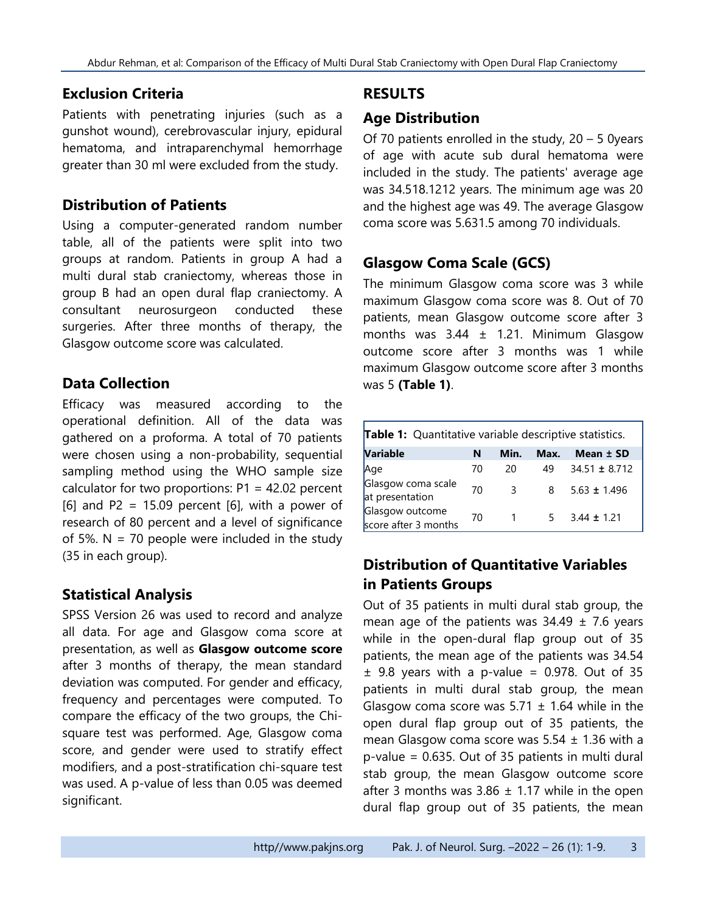#### **Exclusion Criteria**

Patients with penetrating injuries (such as a gunshot wound), cerebrovascular injury, epidural hematoma, and intraparenchymal hemorrhage greater than 30 ml were excluded from the study.

#### **Distribution of Patients**

Using a computer-generated random number table, all of the patients were split into two groups at random. Patients in group A had a multi dural stab craniectomy, whereas those in group B had an open dural flap craniectomy. A consultant neurosurgeon conducted these surgeries. After three months of therapy, the Glasgow outcome score was calculated.

#### **Data Collection**

Efficacy was measured according to the operational definition. All of the data was gathered on a proforma. A total of 70 patients were chosen using a non-probability, sequential sampling method using the WHO sample size calculator for two proportions:  $P1 = 42.02$  percent [6] and P2 = 15.09 percent [6], with a power of research of 80 percent and a level of significance of 5%.  $N = 70$  people were included in the study (35 in each group).

### **Statistical Analysis**

SPSS Version 26 was used to record and analyze all data. For age and Glasgow coma score at presentation, as well as **Glasgow outcome score** after 3 months of therapy, the mean standard deviation was computed. For gender and efficacy, frequency and percentages were computed. To compare the efficacy of the two groups, the Chisquare test was performed. Age, Glasgow coma score, and gender were used to stratify effect modifiers, and a post-stratification chi-square test was used. A p-value of less than 0.05 was deemed significant.

### **RESULTS**

### **Age Distribution**

Of 70 patients enrolled in the study, 20 – 5 0years of age with acute sub dural hematoma were included in the study. The patients' average age was 34.518.1212 years. The minimum age was 20 and the highest age was 49. The average Glasgow coma score was 5.631.5 among 70 individuals.

### **Glasgow Coma Scale (GCS)**

The minimum Glasgow coma score was 3 while maximum Glasgow coma score was 8. Out of 70 patients, mean Glasgow outcome score after 3 months was  $3.44 \pm 1.21$ . Minimum Glasgow outcome score after 3 months was 1 while maximum Glasgow outcome score after 3 months was 5 **(Table 1)**.

| <b>Table 1:</b> Quantitative variable descriptive statistics. |    |           |      |                   |  |  |
|---------------------------------------------------------------|----|-----------|------|-------------------|--|--|
| <b>Variable</b>                                               | N  | Min.      | Max. | Mean $±$ SD       |  |  |
| Age                                                           | 70 | 20        | 49   | $34.51 \pm 8.712$ |  |  |
| Glasgow coma scale<br>at presentation                         | 70 | 3         | 8    | $5.63 \pm 1.496$  |  |  |
| Glasgow outcome<br>score after 3 months                       | 70 | $1 \quad$ | 5.   | $3.44 \pm 1.21$   |  |  |

# **Distribution of Quantitative Variables in Patients Groups**

Out of 35 patients in multi dural stab group, the mean age of the patients was  $34.49 \pm 7.6$  years while in the open-dural flap group out of 35 patients, the mean age of the patients was 34.54  $\pm$  9.8 years with a p-value = 0.978. Out of 35 patients in multi dural stab group, the mean Glasgow coma score was  $5.71 \pm 1.64$  while in the open dural flap group out of 35 patients, the mean Glasgow coma score was  $5.54 \pm 1.36$  with a p-value = 0.635. Out of 35 patients in multi dural stab group, the mean Glasgow outcome score after 3 months was  $3.86 \pm 1.17$  while in the open dural flap group out of 35 patients, the mean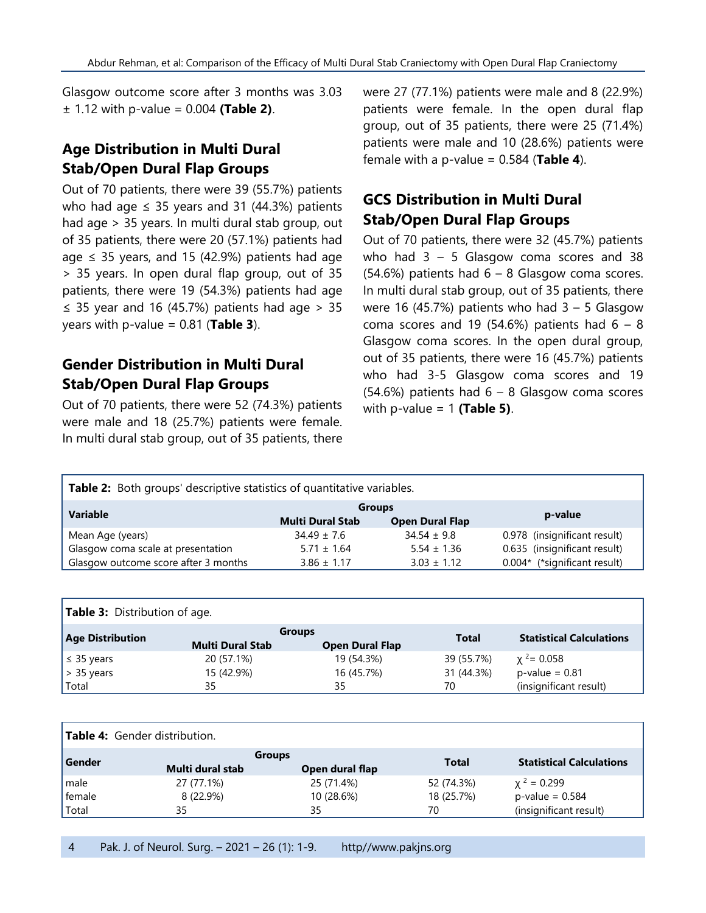Glasgow outcome score after 3 months was 3.03 ± 1.12 with p-value = 0.004 **(Table 2)**.

### **Age Distribution in Multi Dural Stab/Open Dural Flap Groups**

Out of 70 patients, there were 39 (55.7%) patients who had age  $\leq$  35 years and 31 (44.3%) patients had age > 35 years. In multi dural stab group, out of 35 patients, there were 20 (57.1%) patients had age  $\leq$  35 years, and 15 (42.9%) patients had age > 35 years. In open dural flap group, out of 35 patients, there were 19 (54.3%) patients had age ≤ 35 year and 16 (45.7%) patients had age > 35 years with  $p$ -value = 0.81 (**Table 3**).

#### **Gender Distribution in Multi Dural Stab/Open Dural Flap Groups**

Out of 70 patients, there were 52 (74.3%) patients were male and 18 (25.7%) patients were female. In multi dural stab group, out of 35 patients, there were 27 (77.1%) patients were male and 8 (22.9%) patients were female. In the open dural flap group, out of 35 patients, there were 25 (71.4%) patients were male and 10 (28.6%) patients were female with a p-value = 0.584 (**Table 4**).

# **GCS Distribution in Multi Dural Stab/Open Dural Flap Groups**

Out of 70 patients, there were 32 (45.7%) patients who had  $3 - 5$  Glasgow coma scores and 38  $(54.6%)$  patients had  $6 - 8$  Glasgow coma scores. In multi dural stab group, out of 35 patients, there were 16 (45.7%) patients who had  $3 - 5$  Glasgow coma scores and 19 (54.6%) patients had  $6 - 8$ Glasgow coma scores. In the open dural group, out of 35 patients, there were 16 (45.7%) patients who had 3-5 Glasgow coma scores and 19  $(54.6%)$  patients had  $6 - 8$  Glasgow coma scores with p-value = 1 **(Table 5)**.

| Table 2: Both groups' descriptive statistics of quantitative variables. |                         |                        |                              |  |  |  |
|-------------------------------------------------------------------------|-------------------------|------------------------|------------------------------|--|--|--|
| <b>Variable</b>                                                         | <b>Groups</b>           | p-value                |                              |  |  |  |
|                                                                         | <b>Multi Dural Stab</b> | <b>Open Dural Flap</b> |                              |  |  |  |
| Mean Age (years)                                                        | $34.49 \pm 7.6$         | $34.54 \pm 9.8$        | 0.978 (insignificant result) |  |  |  |
| Glasgow coma scale at presentation                                      | $5.71 \pm 1.64$         | $5.54 \pm 1.36$        | 0.635 (insignificant result) |  |  |  |
| Glasgow outcome score after 3 months                                    | $3.86 \pm 1.17$         | $3.03 \pm 1.12$        | 0.004* (*significant result) |  |  |  |

| Table 3: Distribution of age. |                         |                        |            |                                 |  |  |
|-------------------------------|-------------------------|------------------------|------------|---------------------------------|--|--|
| <b>Age Distribution</b>       | <b>Groups</b>           |                        | Total      | <b>Statistical Calculations</b> |  |  |
|                               | <b>Multi Dural Stab</b> | <b>Open Dural Flap</b> |            |                                 |  |  |
| $\leq$ 35 years               | 20 (57.1%)              | 19 (54.3%)             | 39 (55.7%) | $x^2$ = 0.058                   |  |  |
| $> 35$ years                  | 15 (42.9%)              | 16 (45.7%)             | 31 (44.3%) | $p$ -value = 0.81               |  |  |
| Total                         | 35                      | 35                     | 70         | (insignificant result)          |  |  |

| <b>Table 4:</b> Gender distribution. |                                   |                 |              |                                 |  |
|--------------------------------------|-----------------------------------|-----------------|--------------|---------------------------------|--|
| Gender                               | <b>Groups</b><br>Multi dural stab | Open dural flap | <b>Total</b> | <b>Statistical Calculations</b> |  |
| male                                 | 27 (77.1%)                        | 25 (71.4%)      | 52 (74.3%)   | $\chi^2 = 0.299$                |  |
| female                               | 8 (22.9%)                         | 10 (28.6%)      | 18 (25.7%)   | $p$ -value = 0.584              |  |
| Total                                | 35                                | 35              | 70           | (insignificant result)          |  |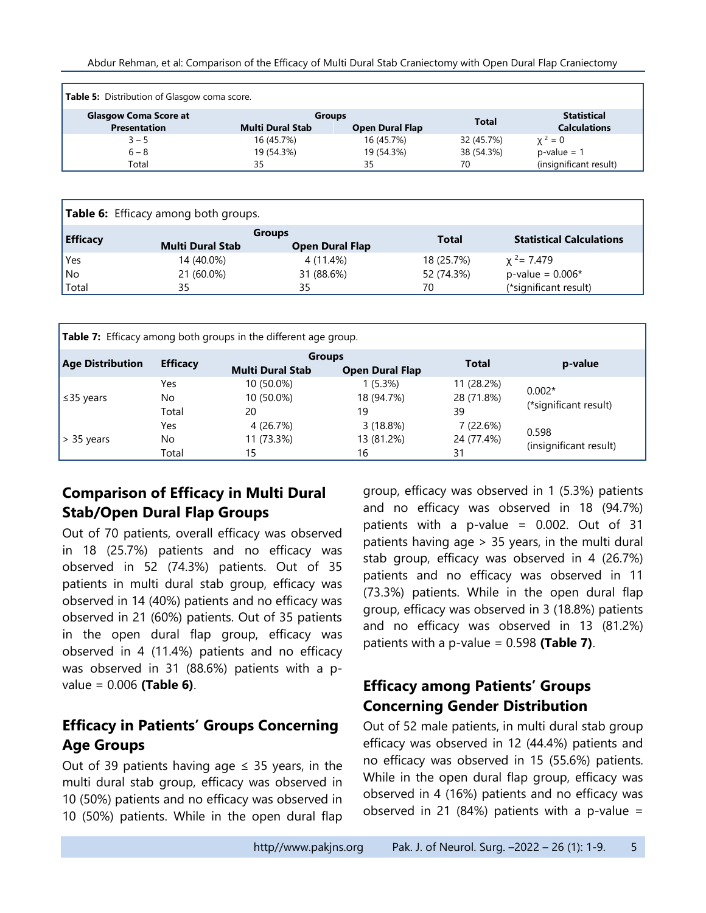| <b>Table 5:</b> Distribution of Glasgow coma score. |                         |                        |              |                        |
|-----------------------------------------------------|-------------------------|------------------------|--------------|------------------------|
| <b>Glasgow Coma Score at</b>                        | <b>Groups</b>           |                        | <b>Total</b> | <b>Statistical</b>     |
| <b>Presentation</b>                                 | <b>Multi Dural Stab</b> | <b>Open Dural Flap</b> |              | <b>Calculations</b>    |
| $3 - 5$                                             | 16 (45.7%)              | 16 (45.7%)             | 32 (45.7%)   | $x^2 = 0$              |
| $6 - 8$                                             | 19 (54.3%)              | 19 (54.3%)             | 38 (54.3%)   | $p-value = 1$          |
| Total                                               | 35                      | 35                     | 70           | (insignificant result) |

| <b>Table 6:</b> Efficacy among both groups. |                         |                                         |              |                                 |  |  |
|---------------------------------------------|-------------------------|-----------------------------------------|--------------|---------------------------------|--|--|
| <b>Efficacy</b>                             | <b>Multi Dural Stab</b> | <b>Groups</b><br><b>Open Dural Flap</b> | <b>Total</b> | <b>Statistical Calculations</b> |  |  |
| Yes                                         | 14 (40.0%)              | 4 (11.4%)                               | 18 (25.7%)   | $x^2 = 7.479$                   |  |  |
| No                                          | 21 (60.0%)              | 31 (88.6%)                              | 52 (74.3%)   | $p$ -value = 0.006*             |  |  |
| Total                                       | 35                      | 35                                      | 70           | (*significant result)           |  |  |

| <b>Table 7:</b> Efficacy among both groups in the different age group. |                     |                                          |                              |                                |                                   |  |  |
|------------------------------------------------------------------------|---------------------|------------------------------------------|------------------------------|--------------------------------|-----------------------------------|--|--|
| <b>Age Distribution</b>                                                | <b>Efficacy</b>     | <b>Groups</b><br><b>Multi Dural Stab</b> | <b>Open Dural Flap</b>       | <b>Total</b>                   | p-value                           |  |  |
| $\leq$ 35 years                                                        | Yes<br>No.<br>Total | 10 (50.0%)<br>10 (50.0%)<br>20           | 1(5.3%)<br>18 (94.7%)<br>19  | 11 (28.2%)<br>28 (71.8%)<br>39 | $0.002*$<br>(*significant result) |  |  |
| $\geq$ 35 years                                                        | Yes<br>No.<br>Total | 4 (26.7%)<br>11 (73.3%)<br>15            | 3(18.8%)<br>13 (81.2%)<br>16 | 7 (22.6%)<br>24 (77.4%)<br>31  | 0.598<br>(insignificant result)   |  |  |

# **Comparison of Efficacy in Multi Dural Stab/Open Dural Flap Groups**

Out of 70 patients, overall efficacy was observed in 18 (25.7%) patients and no efficacy was observed in 52 (74.3%) patients. Out of 35 patients in multi dural stab group, efficacy was observed in 14 (40%) patients and no efficacy was observed in 21 (60%) patients. Out of 35 patients in the open dural flap group, efficacy was observed in 4 (11.4%) patients and no efficacy was observed in 31 (88.6%) patients with a pvalue = 0.006 **(Table 6)**.

# **Efficacy in Patients' Groups Concerning Age Groups**

Out of 39 patients having age  $\leq$  35 years, in the multi dural stab group, efficacy was observed in 10 (50%) patients and no efficacy was observed in 10 (50%) patients. While in the open dural flap group, efficacy was observed in 1 (5.3%) patients and no efficacy was observed in 18 (94.7%) patients with a p-value = 0.002. Out of 31 patients having age > 35 years, in the multi dural stab group, efficacy was observed in 4 (26.7%) patients and no efficacy was observed in 11 (73.3%) patients. While in the open dural flap group, efficacy was observed in 3 (18.8%) patients and no efficacy was observed in 13 (81.2%) patients with a p-value = 0.598 **(Table 7)**.

### **Efficacy among Patients' Groups Concerning Gender Distribution**

Out of 52 male patients, in multi dural stab group efficacy was observed in 12 (44.4%) patients and no efficacy was observed in 15 (55.6%) patients. While in the open dural flap group, efficacy was observed in 4 (16%) patients and no efficacy was observed in 21 (84%) patients with a p-value =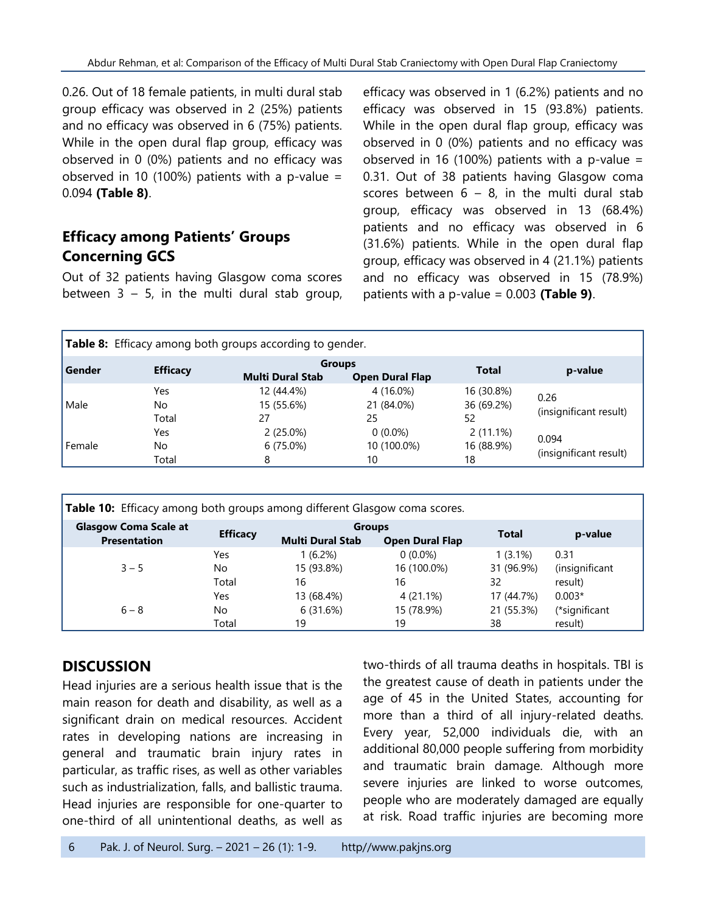0.26. Out of 18 female patients, in multi dural stab group efficacy was observed in 2 (25%) patients and no efficacy was observed in 6 (75%) patients. While in the open dural flap group, efficacy was observed in 0 (0%) patients and no efficacy was observed in 10 (100%) patients with a p-value = 0.094 **(Table 8)**.

#### **Efficacy among Patients' Groups Concerning GCS**

Out of 32 patients having Glasgow coma scores between  $3 - 5$ , in the multi dural stab group, efficacy was observed in 1 (6.2%) patients and no efficacy was observed in 15 (93.8%) patients. While in the open dural flap group, efficacy was observed in 0 (0%) patients and no efficacy was observed in 16 (100%) patients with a p-value = 0.31. Out of 38 patients having Glasgow coma scores between  $6 - 8$ , in the multi dural stab group, efficacy was observed in 13 (68.4%) patients and no efficacy was observed in 6 (31.6%) patients. While in the open dural flap group, efficacy was observed in 4 (21.1%) patients and no efficacy was observed in 15 (78.9%) patients with a p-value = 0.003 **(Table 9)**.

| <b>Table 8:</b> Efficacy among both groups according to gender. |                     |                                 |                                         |                                 |                                 |  |
|-----------------------------------------------------------------|---------------------|---------------------------------|-----------------------------------------|---------------------------------|---------------------------------|--|
| l Gender                                                        | <b>Efficacy</b>     | <b>Multi Dural Stab</b>         | <b>Groups</b><br><b>Open Dural Flap</b> | <b>Total</b>                    | p-value                         |  |
| l Male                                                          | Yes<br>No.<br>Total | 12 (44.4%)<br>15 (55.6%)<br>27  | 4 (16.0%)<br>21 (84.0%)<br>25           | 16 (30.8%)<br>36 (69.2%)<br>52  | 0.26<br>(insignificant result)  |  |
| l Female                                                        | Yes<br>No.<br>Total | $2(25.0\%)$<br>$6(75.0\%)$<br>8 | $0(0.0\%)$<br>10 (100.0%)<br>10         | $2(11.1\%)$<br>16 (88.9%)<br>18 | 0.094<br>(insignificant result) |  |

| Table 10: Efficacy among both groups among different Glasgow coma scores. |                 |                                          |                        |            |                |
|---------------------------------------------------------------------------|-----------------|------------------------------------------|------------------------|------------|----------------|
| <b>Glasgow Coma Scale at</b><br><b>Presentation</b>                       | <b>Efficacy</b> | <b>Groups</b><br><b>Multi Dural Stab</b> | <b>Open Dural Flap</b> | Total      | p-value        |
| $3 - 5$                                                                   | Yes             | 1 (6.2%)                                 | $0(0.0\%)$             | $1(3.1\%)$ | 0.31           |
|                                                                           | No.             | 15 (93.8%)                               | 16 (100.0%)            | 31 (96.9%) | (insignificant |
|                                                                           | Total           | 16                                       | 16                     | 32         | result)        |
| $6 - 8$                                                                   | Yes             | 13 (68.4%)                               | 4 (21.1%)              | 17 (44.7%) | $0.003*$       |
|                                                                           | No              | 6(31.6%)                                 | 15 (78.9%)             | 21 (55.3%) | (*significant  |
|                                                                           | Total           | 19                                       | 19                     | 38         | result)        |

### **DISCUSSION**

Head injuries are a serious health issue that is the main reason for death and disability, as well as a significant drain on medical resources. Accident rates in developing nations are increasing in general and traumatic brain injury rates in particular, as traffic rises, as well as other variables such as industrialization, falls, and ballistic trauma. Head injuries are responsible for one-quarter to one-third of all unintentional deaths, as well as two-thirds of all trauma deaths in hospitals. TBI is the greatest cause of death in patients under the age of 45 in the United States, accounting for more than a third of all injury-related deaths. Every year, 52,000 individuals die, with an additional 80,000 people suffering from morbidity and traumatic brain damage. Although more severe injuries are linked to worse outcomes, people who are moderately damaged are equally at risk. Road traffic injuries are becoming more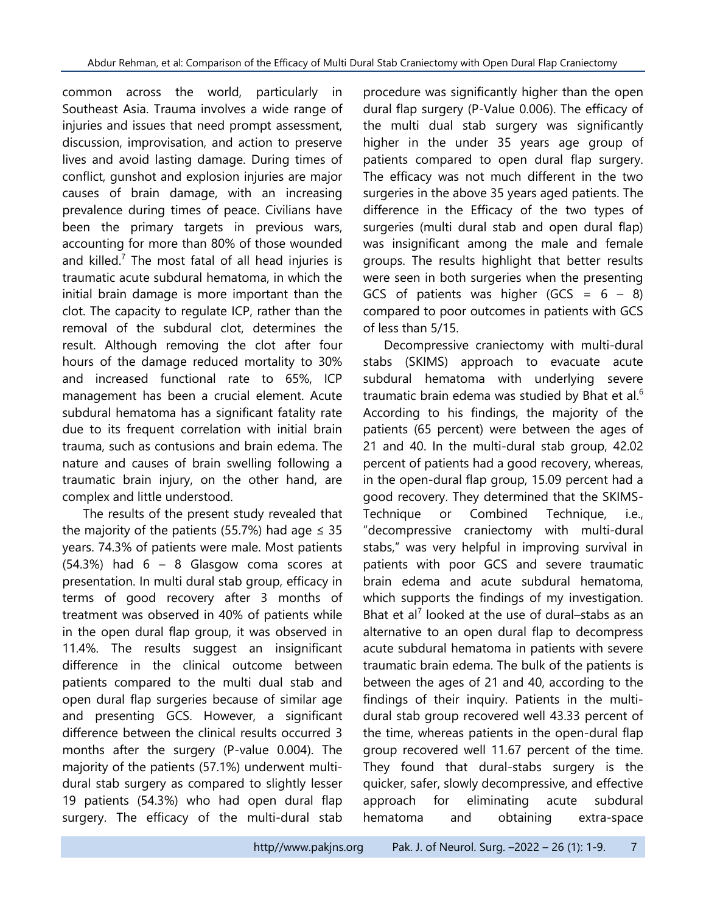common across the world, particularly in Southeast Asia. Trauma involves a wide range of injuries and issues that need prompt assessment, discussion, improvisation, and action to preserve lives and avoid lasting damage. During times of conflict, gunshot and explosion injuries are major causes of brain damage, with an increasing prevalence during times of peace. Civilians have been the primary targets in previous wars, accounting for more than 80% of those wounded and killed.<sup>7</sup> The most fatal of all head injuries is traumatic acute subdural hematoma, in which the initial brain damage is more important than the clot. The capacity to regulate ICP, rather than the removal of the subdural clot, determines the result. Although removing the clot after four hours of the damage reduced mortality to 30% and increased functional rate to 65%, ICP management has been a crucial element. Acute subdural hematoma has a significant fatality rate due to its frequent correlation with initial brain trauma, such as contusions and brain edema. The nature and causes of brain swelling following a traumatic brain injury, on the other hand, are complex and little understood.

The results of the present study revealed that the majority of the patients (55.7%) had age  $\leq$  35 years. 74.3% of patients were male. Most patients  $(54.3\%)$  had  $6 - 8$  Glasgow coma scores at presentation. In multi dural stab group, efficacy in terms of good recovery after 3 months of treatment was observed in 40% of patients while in the open dural flap group, it was observed in 11.4%. The results suggest an insignificant difference in the clinical outcome between patients compared to the multi dual stab and open dural flap surgeries because of similar age and presenting GCS. However, a significant difference between the clinical results occurred 3 months after the surgery (P-value 0.004). The majority of the patients (57.1%) underwent multidural stab surgery as compared to slightly lesser 19 patients (54.3%) who had open dural flap surgery. The efficacy of the multi-dural stab

procedure was significantly higher than the open dural flap surgery (P-Value 0.006). The efficacy of the multi dual stab surgery was significantly higher in the under 35 years age group of patients compared to open dural flap surgery. The efficacy was not much different in the two surgeries in the above 35 years aged patients. The difference in the Efficacy of the two types of surgeries (multi dural stab and open dural flap) was insignificant among the male and female groups. The results highlight that better results were seen in both surgeries when the presenting GCS of patients was higher (GCS =  $6 - 8$ ) compared to poor outcomes in patients with GCS of less than 5/15.

Decompressive craniectomy with multi-dural stabs (SKIMS) approach to evacuate acute subdural hematoma with underlying severe traumatic brain edema was studied by Bhat et al.<sup>6</sup> According to his findings, the majority of the patients (65 percent) were between the ages of 21 and 40. In the multi-dural stab group, 42.02 percent of patients had a good recovery, whereas, in the open-dural flap group, 15.09 percent had a good recovery. They determined that the SKIMS-Technique or Combined Technique, i.e., "decompressive craniectomy with multi-dural stabs," was very helpful in improving survival in patients with poor GCS and severe traumatic brain edema and acute subdural hematoma, which supports the findings of my investigation. Bhat et al<sup>7</sup> looked at the use of dural-stabs as an alternative to an open dural flap to decompress acute subdural hematoma in patients with severe traumatic brain edema. The bulk of the patients is between the ages of 21 and 40, according to the findings of their inquiry. Patients in the multidural stab group recovered well 43.33 percent of the time, whereas patients in the open-dural flap group recovered well 11.67 percent of the time. They found that dural-stabs surgery is the quicker, safer, slowly decompressive, and effective approach for eliminating acute subdural hematoma and obtaining extra-space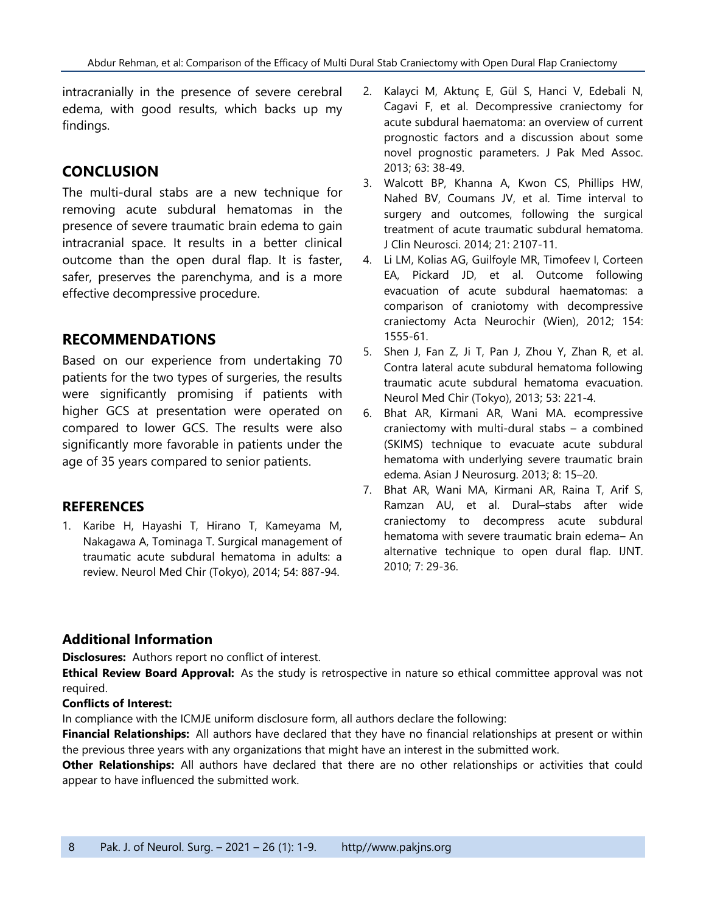intracranially in the presence of severe cerebral edema, with good results, which backs up my findings.

#### **CONCLUSION**

The multi-dural stabs are a new technique for removing acute subdural hematomas in the presence of severe traumatic brain edema to gain intracranial space. It results in a better clinical outcome than the open dural flap. It is faster, safer, preserves the parenchyma, and is a more effective decompressive procedure.

#### **RECOMMENDATIONS**

Based on our experience from undertaking 70 patients for the two types of surgeries, the results were significantly promising if patients with higher GCS at presentation were operated on compared to lower GCS. The results were also significantly more favorable in patients under the age of 35 years compared to senior patients.

#### **REFERENCES**

1. Karibe H, Hayashi T, Hirano T, Kameyama M, Nakagawa A, Tominaga T. Surgical management of traumatic acute subdural hematoma in adults: a review. Neurol Med Chir (Tokyo), 2014; 54: 887-94.

- 2. [Kalayci M,](http://www.ncbi.nlm.nih.gov/pubmed/?term=Kalayci%20M%5BAuthor%5D&cauthor=true&cauthor_uid=23865130) [Aktunç E,](http://www.ncbi.nlm.nih.gov/pubmed/?term=Aktun%C3%A7%20E%5BAuthor%5D&cauthor=true&cauthor_uid=23865130) [Gül S,](http://www.ncbi.nlm.nih.gov/pubmed/?term=G%C3%BCl%20S%5BAuthor%5D&cauthor=true&cauthor_uid=23865130) [Hanci V,](http://www.ncbi.nlm.nih.gov/pubmed/?term=Hanci%20V%5BAuthor%5D&cauthor=true&cauthor_uid=23865130) [Edebali N,](http://www.ncbi.nlm.nih.gov/pubmed/?term=Edebali%20N%5BAuthor%5D&cauthor=true&cauthor_uid=23865130) [Cagavi F,](http://www.ncbi.nlm.nih.gov/pubmed/?term=Cagavi%20F%5BAuthor%5D&cauthor=true&cauthor_uid=23865130) et al. Decompressive craniectomy for acute subdural haematoma: an overview of current prognostic factors and a discussion about some novel prognostic parameters. [J Pak Med Assoc.](http://www.ncbi.nlm.nih.gov/pubmed/?term=Decompressive+craniectomy+for+acute+subdural+haematoma%3A+An+overview+of+current+prognostic+factors+and+a+discussion+about+some+novel+prognostic+parametres) 2013; 63: 38-49.
- 3. [Walcott BP,](http://www.ncbi.nlm.nih.gov/pubmed/?term=Walcott%20BP%5BAuthor%5D&cauthor=true&cauthor_uid=25065950) [Khanna A,](http://www.ncbi.nlm.nih.gov/pubmed/?term=Khanna%20A%5BAuthor%5D&cauthor=true&cauthor_uid=25065950) [Kwon CS,](http://www.ncbi.nlm.nih.gov/pubmed/?term=Kwon%20CS%5BAuthor%5D&cauthor=true&cauthor_uid=25065950) [Phillips HW,](http://www.ncbi.nlm.nih.gov/pubmed/?term=Phillips%20HW%5BAuthor%5D&cauthor=true&cauthor_uid=25065950) [Nahed BV,](http://www.ncbi.nlm.nih.gov/pubmed/?term=Nahed%20BV%5BAuthor%5D&cauthor=true&cauthor_uid=25065950) [Coumans JV,](http://www.ncbi.nlm.nih.gov/pubmed/?term=Coumans%20JV%5BAuthor%5D&cauthor=true&cauthor_uid=25065950) et al. Time interval to surgery and outcomes, following the surgical treatment of acute traumatic subdural hematoma. [J Clin Neurosci.](http://www.ncbi.nlm.nih.gov/pubmed/25065950) 2014; 21: 2107-11.
- 4. [Li LM,](http://www.ncbi.nlm.nih.gov/pubmed/?term=Li%20LM%5BAuthor%5D&cauthor=true&cauthor_uid=22752713) [Kolias AG,](http://www.ncbi.nlm.nih.gov/pubmed/?term=Kolias%20AG%5BAuthor%5D&cauthor=true&cauthor_uid=22752713) [Guilfoyle MR,](http://www.ncbi.nlm.nih.gov/pubmed/?term=Guilfoyle%20MR%5BAuthor%5D&cauthor=true&cauthor_uid=22752713) [Timofeev I,](http://www.ncbi.nlm.nih.gov/pubmed/?term=Timofeev%20I%5BAuthor%5D&cauthor=true&cauthor_uid=22752713) [Corteen](http://www.ncbi.nlm.nih.gov/pubmed/?term=Corteen%20EA%5BAuthor%5D&cauthor=true&cauthor_uid=22752713)  [EA,](http://www.ncbi.nlm.nih.gov/pubmed/?term=Corteen%20EA%5BAuthor%5D&cauthor=true&cauthor_uid=22752713) [Pickard JD,](http://www.ncbi.nlm.nih.gov/pubmed/?term=Pickard%20JD%5BAuthor%5D&cauthor=true&cauthor_uid=22752713) et al. Outcome following evacuation of acute subdural haematomas: a comparison of craniotomy with decompressive craniectomy [Acta Neurochir \(Wien\),](http://www.ncbi.nlm.nih.gov/pubmed/22752713) 2012; 154: 1555-61.
- 5. [Shen J,](http://www.ncbi.nlm.nih.gov/pubmed/?term=Shen%20J%5BAuthor%5D&cauthor=true&cauthor_uid=23615411) [Fan Z,](http://www.ncbi.nlm.nih.gov/pubmed/?term=Fan%20Z%5BAuthor%5D&cauthor=true&cauthor_uid=23615411) [Ji T,](http://www.ncbi.nlm.nih.gov/pubmed/?term=Ji%20T%5BAuthor%5D&cauthor=true&cauthor_uid=23615411) [Pan J,](http://www.ncbi.nlm.nih.gov/pubmed/?term=Pan%20J%5BAuthor%5D&cauthor=true&cauthor_uid=23615411) [Zhou Y,](http://www.ncbi.nlm.nih.gov/pubmed/?term=Zhou%20Y%5BAuthor%5D&cauthor=true&cauthor_uid=23615411) [Zhan R,](http://www.ncbi.nlm.nih.gov/pubmed/?term=Zhan%20R%5BAuthor%5D&cauthor=true&cauthor_uid=23615411) et al. Contra lateral acute subdural hematoma following traumatic acute subdural hematoma evacuation. [Neurol Med Chir \(Tokyo\),](http://www.ncbi.nlm.nih.gov/pubmed/23615411) 2013; 53: 221-4.
- 6. Bhat AR, Kirmani AR, Wani MA. ecompressive craniectomy with multi-dural stabs – a combined (SKIMS) technique to evacuate acute subdural hematoma with underlying severe traumatic brain edema. Asian J Neurosurg. 2013; 8: 15–20.
- 7. Bhat AR, Wani MA, Kirmani AR, Raina T, Arif S, Ramzan AU, et al. Dural–stabs after wide craniectomy to decompress acute subdural hematoma with severe traumatic brain edema– An alternative technique to open dural flap. IJNT. 2010; 7: 29-36.

#### **Additional Information**

**Disclosures:** Authors report no conflict of interest.

**Ethical Review Board Approval:** As the study is retrospective in nature so ethical committee approval was not required.

#### **Conflicts of Interest:**

In compliance with the ICMJE uniform disclosure form, all authors declare the following:

**Financial Relationships:** All authors have declared that they have no financial relationships at present or within the previous three years with any organizations that might have an interest in the submitted work.

**Other Relationships:** All authors have declared that there are no other relationships or activities that could appear to have influenced the submitted work.